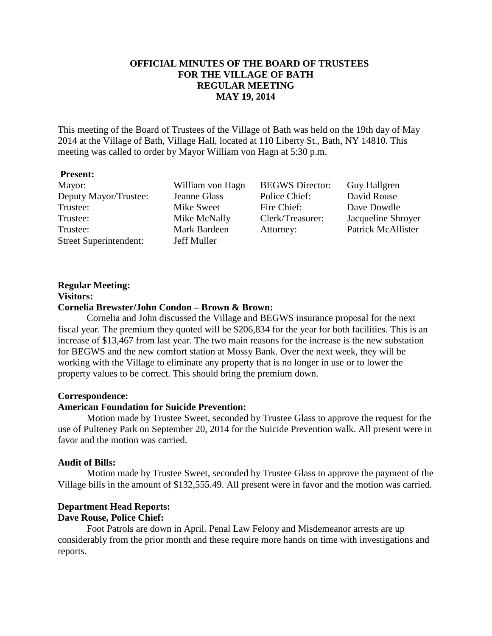## **OFFICIAL MINUTES OF THE BOARD OF TRUSTEES FOR THE VILLAGE OF BATH REGULAR MEETING MAY 19, 2014**

This meeting of the Board of Trustees of the Village of Bath was held on the 19th day of May 2014 at the Village of Bath, Village Hall, located at 110 Liberty St., Bath, NY 14810. This meeting was called to order by Mayor William von Hagn at 5:30 p.m.

#### **Present:**

Mayor: William von Hagn BEGWS Director: Guy Hallgren Deputy Mayor/Trustee: Jeanne Glass Police Chief: David Rouse Trustee: Mike Sweet Fire Chief: Dave Dowdle Trustee: Mike McNally Clerk/Treasurer: Jacqueline Shroyer Trustee: Mark Bardeen Attorney: Patrick McAllister Street Superintendent: Jeff Muller

#### **Regular Meeting: Visitors:**

#### **Cornelia Brewster/John Condon – Brown & Brown:**

Cornelia and John discussed the Village and BEGWS insurance proposal for the next fiscal year. The premium they quoted will be \$206,834 for the year for both facilities. This is an increase of \$13,467 from last year. The two main reasons for the increase is the new substation for BEGWS and the new comfort station at Mossy Bank. Over the next week, they will be working with the Village to eliminate any property that is no longer in use or to lower the property values to be correct. This should bring the premium down.

#### **Correspondence:**

#### **American Foundation for Suicide Prevention:**

 Motion made by Trustee Sweet, seconded by Trustee Glass to approve the request for the use of Pulteney Park on September 20, 2014 for the Suicide Prevention walk. All present were in favor and the motion was carried.

#### **Audit of Bills:**

Motion made by Trustee Sweet, seconded by Trustee Glass to approve the payment of the Village bills in the amount of \$132,555.49. All present were in favor and the motion was carried.

## **Department Head Reports:**

### **Dave Rouse, Police Chief:**

Foot Patrols are down in April. Penal Law Felony and Misdemeanor arrests are up considerably from the prior month and these require more hands on time with investigations and reports.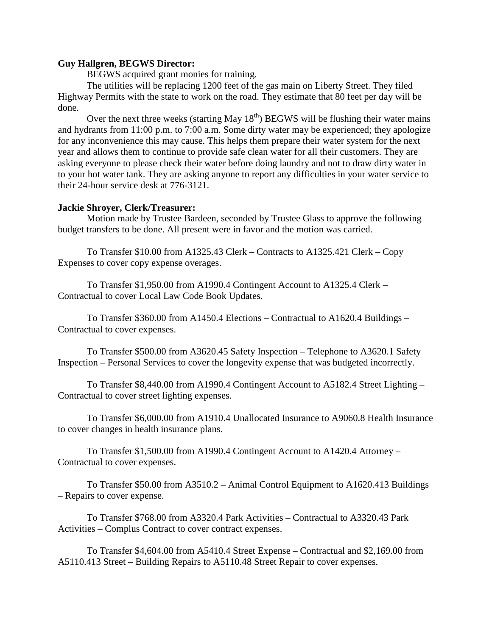#### **Guy Hallgren, BEGWS Director:**

BEGWS acquired grant monies for training.

 The utilities will be replacing 1200 feet of the gas main on Liberty Street. They filed Highway Permits with the state to work on the road. They estimate that 80 feet per day will be done.

Over the next three weeks (starting May  $18<sup>th</sup>$ ) BEGWS will be flushing their water mains and hydrants from 11:00 p.m. to 7:00 a.m. Some dirty water may be experienced; they apologize for any inconvenience this may cause. This helps them prepare their water system for the next year and allows them to continue to provide safe clean water for all their customers. They are asking everyone to please check their water before doing laundry and not to draw dirty water in to your hot water tank. They are asking anyone to report any difficulties in your water service to their 24-hour service desk at 776-3121.

#### **Jackie Shroyer, Clerk/Treasurer:**

Motion made by Trustee Bardeen, seconded by Trustee Glass to approve the following budget transfers to be done. All present were in favor and the motion was carried.

To Transfer \$10.00 from A1325.43 Clerk – Contracts to A1325.421 Clerk – Copy Expenses to cover copy expense overages.

To Transfer \$1,950.00 from A1990.4 Contingent Account to A1325.4 Clerk – Contractual to cover Local Law Code Book Updates.

To Transfer \$360.00 from A1450.4 Elections – Contractual to A1620.4 Buildings – Contractual to cover expenses.

To Transfer \$500.00 from A3620.45 Safety Inspection – Telephone to A3620.1 Safety Inspection – Personal Services to cover the longevity expense that was budgeted incorrectly.

To Transfer \$8,440.00 from A1990.4 Contingent Account to A5182.4 Street Lighting – Contractual to cover street lighting expenses.

To Transfer \$6,000.00 from A1910.4 Unallocated Insurance to A9060.8 Health Insurance to cover changes in health insurance plans.

To Transfer \$1,500.00 from A1990.4 Contingent Account to A1420.4 Attorney – Contractual to cover expenses.

To Transfer \$50.00 from A3510.2 – Animal Control Equipment to A1620.413 Buildings – Repairs to cover expense.

To Transfer \$768.00 from A3320.4 Park Activities – Contractual to A3320.43 Park Activities – Complus Contract to cover contract expenses.

To Transfer \$4,604.00 from A5410.4 Street Expense – Contractual and \$2,169.00 from A5110.413 Street – Building Repairs to A5110.48 Street Repair to cover expenses.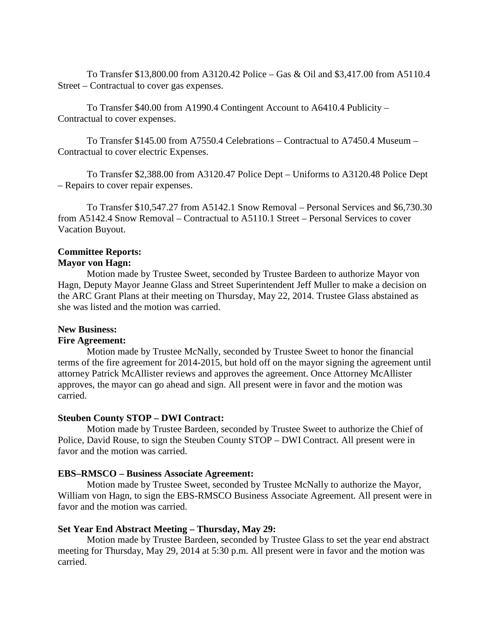To Transfer \$13,800.00 from A3120.42 Police – Gas & Oil and \$3,417.00 from A5110.4 Street – Contractual to cover gas expenses.

To Transfer \$40.00 from A1990.4 Contingent Account to A6410.4 Publicity – Contractual to cover expenses.

To Transfer \$145.00 from A7550.4 Celebrations – Contractual to A7450.4 Museum – Contractual to cover electric Expenses.

To Transfer \$2,388.00 from A3120.47 Police Dept – Uniforms to A3120.48 Police Dept – Repairs to cover repair expenses.

 To Transfer \$10,547.27 from A5142.1 Snow Removal – Personal Services and \$6,730.30 from A5142.4 Snow Removal – Contractual to A5110.1 Street – Personal Services to cover Vacation Buyout.

## **Committee Reports:**

# **Mayor von Hagn:**

 Motion made by Trustee Sweet, seconded by Trustee Bardeen to authorize Mayor von Hagn, Deputy Mayor Jeanne Glass and Street Superintendent Jeff Muller to make a decision on the ARC Grant Plans at their meeting on Thursday, May 22, 2014. Trustee Glass abstained as she was listed and the motion was carried.

## **New Business:**

## **Fire Agreement:**

Motion made by Trustee McNally, seconded by Trustee Sweet to honor the financial terms of the fire agreement for 2014-2015, but hold off on the mayor signing the agreement until attorney Patrick McAllister reviews and approves the agreement. Once Attorney McAllister approves, the mayor can go ahead and sign. All present were in favor and the motion was carried.

#### **Steuben County STOP – DWI Contract:**

 Motion made by Trustee Bardeen, seconded by Trustee Sweet to authorize the Chief of Police, David Rouse, to sign the Steuben County STOP – DWI Contract. All present were in favor and the motion was carried.

#### **EBS–RMSCO – Business Associate Agreement:**

 Motion made by Trustee Sweet, seconded by Trustee McNally to authorize the Mayor, William von Hagn, to sign the EBS-RMSCO Business Associate Agreement. All present were in favor and the motion was carried.

## **Set Year End Abstract Meeting – Thursday, May 29:**

 Motion made by Trustee Bardeen, seconded by Trustee Glass to set the year end abstract meeting for Thursday, May 29, 2014 at 5:30 p.m. All present were in favor and the motion was carried.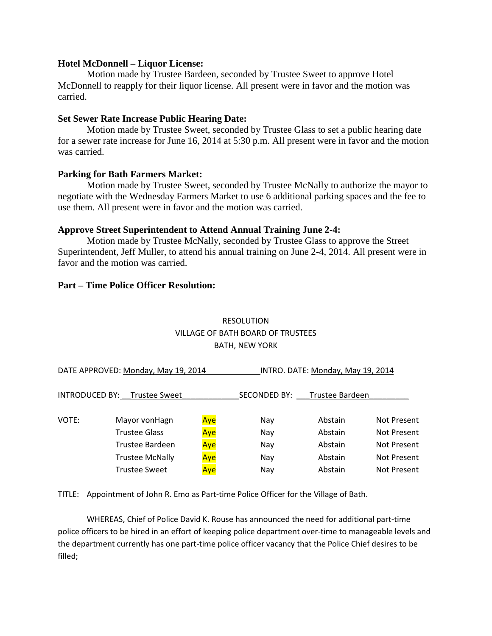#### **Hotel McDonnell – Liquor License:**

Motion made by Trustee Bardeen, seconded by Trustee Sweet to approve Hotel McDonnell to reapply for their liquor license. All present were in favor and the motion was carried.

#### **Set Sewer Rate Increase Public Hearing Date:**

Motion made by Trustee Sweet, seconded by Trustee Glass to set a public hearing date for a sewer rate increase for June 16, 2014 at 5:30 p.m. All present were in favor and the motion was carried.

#### **Parking for Bath Farmers Market:**

Motion made by Trustee Sweet, seconded by Trustee McNally to authorize the mayor to negotiate with the Wednesday Farmers Market to use 6 additional parking spaces and the fee to use them. All present were in favor and the motion was carried.

#### **Approve Street Superintendent to Attend Annual Training June 2-4:**

Motion made by Trustee McNally, seconded by Trustee Glass to approve the Street Superintendent, Jeff Muller, to attend his annual training on June 2-4, 2014. All present were in favor and the motion was carried.

#### **Part – Time Police Officer Resolution:**

# RESOLUTION VILLAGE OF BATH BOARD OF TRUSTEES BATH, NEW YORK

| DATE APPROVED: Monday, May 19, 2014 |                              |     | INTRO. DATE: Monday, May 19, 2014 |                 |             |
|-------------------------------------|------------------------------|-----|-----------------------------------|-----------------|-------------|
|                                     | INTRODUCED BY: Trustee Sweet |     | SECONDED BY:                      | Trustee Bardeen |             |
| VOTE:                               | Mayor von Hagn               | Aye | Nay                               | Abstain         | Not Present |
|                                     | <b>Trustee Glass</b>         | Aye | Nay                               | Abstain         | Not Present |
|                                     | Trustee Bardeen              | Aye | Nay                               | Abstain         | Not Present |
|                                     | <b>Trustee McNally</b>       | Aye | Nay                               | Abstain         | Not Present |
|                                     | <b>Trustee Sweet</b>         | Aye | Nay                               | Abstain         | Not Present |

TITLE: Appointment of John R. Emo as Part-time Police Officer for the Village of Bath.

 WHEREAS, Chief of Police David K. Rouse has announced the need for additional part-time police officers to be hired in an effort of keeping police department over-time to manageable levels and the department currently has one part-time police officer vacancy that the Police Chief desires to be filled;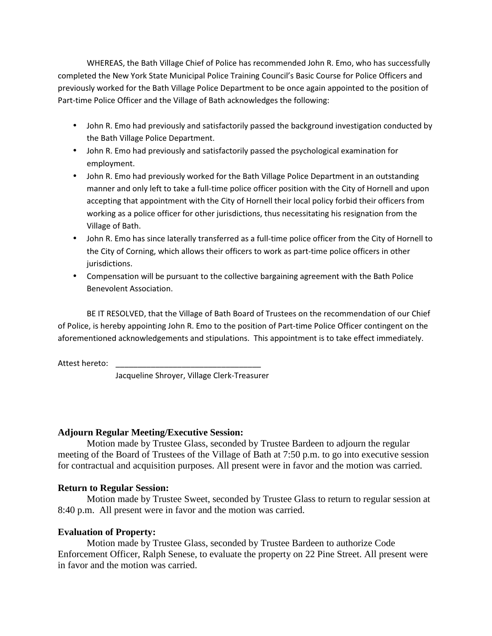WHEREAS, the Bath Village Chief of Police has recommended John R. Emo, who has successfully completed the New York State Municipal Police Training Council's Basic Course for Police Officers and previously worked for the Bath Village Police Department to be once again appointed to the position of Part-time Police Officer and the Village of Bath acknowledges the following:

- John R. Emo had previously and satisfactorily passed the background investigation conducted by the Bath Village Police Department.
- John R. Emo had previously and satisfactorily passed the psychological examination for employment.
- John R. Emo had previously worked for the Bath Village Police Department in an outstanding manner and only left to take a full-time police officer position with the City of Hornell and upon accepting that appointment with the City of Hornell their local policy forbid their officers from working as a police officer for other jurisdictions, thus necessitating his resignation from the Village of Bath.
- John R. Emo has since laterally transferred as a full-time police officer from the City of Hornell to the City of Corning, which allows their officers to work as part-time police officers in other jurisdictions.
- Compensation will be pursuant to the collective bargaining agreement with the Bath Police Benevolent Association.

 BE IT RESOLVED, that the Village of Bath Board of Trustees on the recommendation of our Chief of Police, is hereby appointing John R. Emo to the position of Part-time Police Officer contingent on the aforementioned acknowledgements and stipulations. This appointment is to take effect immediately.

Attest hereto:

Jacqueline Shroyer, Village Clerk-Treasurer

## **Adjourn Regular Meeting/Executive Session:**

Motion made by Trustee Glass, seconded by Trustee Bardeen to adjourn the regular meeting of the Board of Trustees of the Village of Bath at 7:50 p.m. to go into executive session for contractual and acquisition purposes. All present were in favor and the motion was carried.

## **Return to Regular Session:**

Motion made by Trustee Sweet, seconded by Trustee Glass to return to regular session at 8:40 p.m. All present were in favor and the motion was carried.

## **Evaluation of Property:**

 Motion made by Trustee Glass, seconded by Trustee Bardeen to authorize Code Enforcement Officer, Ralph Senese, to evaluate the property on 22 Pine Street. All present were in favor and the motion was carried.